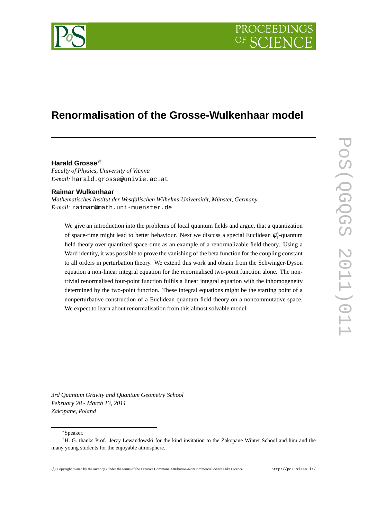

# **Renormalisation of the Grosse-Wulkenhaar model**

# **Harald Grosse**∗†

*Faculty of Physics, University of Vienna E-mail:* harald.grosse@univie.ac.at

### **Raimar Wulkenhaar**

*Mathematisches Institut der Westfälischen Wilhelms-Universität, Münster, Germany E-mail:* raimar@math.uni-muenster.de

We give an introduction into the problems of local quantum fields and argue, that a quantization of space-time might lead to better behaviour. Next we discuss a special Euclidean  $\phi_4^4$ -quantum field theory over quantized space-time as an example of a renormalizable field theory. Using a Ward identity, it was possible to prove the vanishing of the beta function for the coupling constant to all orders in perturbation theory. We extend this work and obtain from the Schwinger-Dyson equation a non-linear integral equation for the renormalised two-point function alone. The nontrivial renormalised four-point function fulfils a linear integral equation with the inhomogeneity determined by the two-point function. These integral equations might be the starting point of a nonperturbative construction of a Euclidean quantum field theory on a noncommutative space. We expect to learn about renormalisation from this almost solvable model.

*3rd Quantum Gravity and Quantum Geometry School February 28 - March 13, 2011 Zakopane, Poland*

<sup>∗</sup>Speaker.

<sup>†</sup>H. G. thanks Prof. Jerzy Lewandowski for the kind invitation to the Zakopane Winter School and him and the many young students for the enjoyable atmosphere.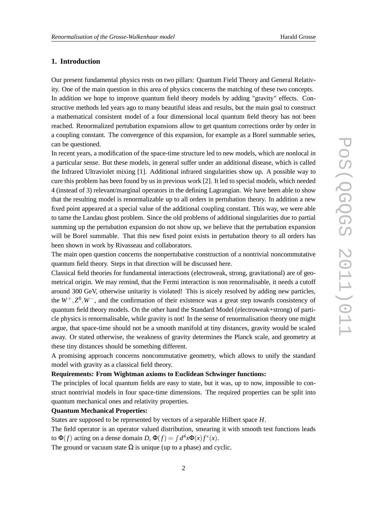# **1. Introduction**

Our present fundamental physics rests on two pillars: Quantum Field Theory and General Relativity. One of the main question in this area of physics concerns the matching of these two concepts. In addition we hope to improve quantum field theory models by adding "gravity" effects. Constructive methods led years ago to many beautiful ideas and results, but the main goal to construct a mathematical consistent model of a four dimensional local quantum field theory has not been reached. Renormalized pertubation expansions allow to get quantum corrections order by order in a coupling constant. The convergence of this expansion, for example as a Borel summable series, can be questioned.

In recent years, a modification of the space-time structure led to new models, which are nonlocal in a particular sense. But these models, in general suffer under an additional disease, which is called the Infrared Ultraviolet mixing [1]. Additional infrared singularities show up. A possible way to cure this problem has been found by us in previous work [2]. It led to special models, which needed 4 (instead of 3) relevant/marginal operators in the defining Lagrangian. We have been able to show that the resulting model is renormalizable up to all orders in pertubation theory. In addition a new fixed point appeared at a special value of the additional coupling constant. This way, we were able to tame the Landau ghost problem. Since the old problems of additional singularities due to partial summing up the pertubation expansion do not show up, we believe that the pertubation expansion will be Borel summable. That this new fixed point exists in pertubation theory to all orders has been shown in work by Rivasseau and collaborators.

The main open question concerns the nonpertubative construction of a nontrivial noncommutative quantum field theory. Steps in that direction will be discussed here.

Classical field theories for fundamental interactions (electroweak, strong, gravitational) are of geometrical origin. We may remind, that the Fermi interaction is non renormalisable, it needs a cutoff around 300 GeV, otherwise unitarity is violated! This is nicely resolved by adding new particles, the *W*+,*Z* 0 ,*W*−, and the confirmation of their existence was a great step towards consistency of quantum field theory models. On the other hand the Standard Model (electroweak+strong) of particle physics is renormalisable, while gravity is not! In the sense of renormalisation theory one might argue, that space-time should not be a smooth manifold at tiny distances, gravity would be scaled away. Or stated otherwise, the weakness of gravity determines the Planck scale, and geometry at these tiny distances should be something different.

A promising approach concerns noncommutative geometry, which allows to unify the standard model with gravity as a classical field theory.

# **Requirements: From Wightman axioms to Euclidean Schwinger functions:**

The principles of local quantum fields are easy to state, but it was, up to now, impossible to construct nontrivial models in four space-time dimensions. The required properties can be split into quantum mechanical ones and relativity properties.

# **Quantum Mechanical Properties:**

States are supposed to be represented by vectors of a separable Hilbert space *H*.

The field operator is an operator valued distribution, smearing it with smooth test functions leads to  $\Phi(f)$  acting on a dense domain *D*,  $\Phi(f) = \int d^4x \Phi(x) f^*(x)$ .

The ground or vacuum state  $\Omega$  is unique (up to a phase) and cyclic.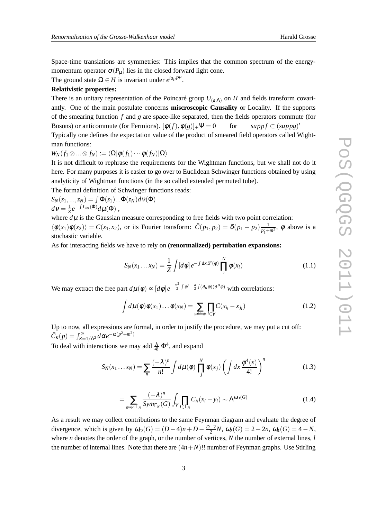Space-time translations are symmetries: This implies that the common spectrum of the energymomentum operator  $\sigma(P_\mu)$  lies in the closed forward light cone.

The ground state  $\Omega \in H$  is invariant under  $e^{ia_{\mu}P^{\mu}}$ .

### **Relativistic properties:**

There is an unitary representation of the Poincaré group  $U_{(a,\Lambda)}$  on *H* and fields transform covariantly. One of the main postulate concerns **miscroscopic Causality** or Locality. If the supports of the smearing function *f* and *g* are space-like separated, then the fields operators commute (for Bosons) or anticommute (for Fermions).  $[\phi(f), \phi(g)]_+ \Psi = 0$  for  $supp f \subset (supp g)'$ Typically one defines the expectation value of the product of smeared field operators called Wightman functions:

 $W_N(f_1 \otimes ... \otimes f_N) := \langle \Omega | \phi(f_1) \cdots \phi(f_N) | \Omega \rangle$ 

It is not difficult to rephrase the requirements for the Wightman functions, but we shall not do it here. For many purposes it is easier to go over to Euclidean Schwinger functions obtained by using analyticity of Wightman functions (in the so called extended permuted tube).

The formal definition of Schwinger functions reads:

$$
S_N(z_1,...,z_N) = \int \Phi(z_1)... \Phi(z_N) d\nu(\Phi)
$$
  
\n
$$
d\nu = \frac{1}{Z}e^{-\int L_{int}(\Phi)}d\mu(\Phi),
$$

where  $d\mu$  is the Gaussian measure corresponding to free fields with two point correlation:  $\langle \phi(x_1)\phi(x_2)\rangle = C(x_1,x_2)$ , or its Fourier transform:  $\tilde{C}(p_1,p_2) = \delta(p_1-p_2)\frac{1}{n^2+1}$  $\frac{1}{p_1^2 + m^2}$ ,  $\phi$  above is a stochastic variable.

As for interacting fields we have to rely on **(renormalized) pertubation expansions:**

$$
S_N(x_1 \dots x_N) = \frac{1}{Z} \int [d\phi] e^{-\int dx \mathcal{L}(\phi)} \prod_i^N \phi(x_i)
$$
 (1.1)

We may extract the free part  $d\mu(\phi) \propto [d\phi] e^{-\frac{m^2}{2}}$  $\frac{a^2}{2} \int \phi^2 - \frac{a}{2} \int (\partial_\mu \phi)(\partial^\mu \phi)$  with correlations:

$$
\int d\mu(\phi)\phi(x_1)\dots\phi(x_N) = \sum_{\text{pairings }l\in\gamma}\prod_{l\in\gamma}C(x_{i_l}-x_{j_l})
$$
\n(1.2)

Up to now, all expressions are formal, in order to justify the procedure, we may put a cut off:  $\tilde{C}_{\kappa}(p) = \int_{\kappa=1/\Lambda^2}^{\infty} d\alpha e^{-\alpha(p^2+m^2)}$ 

To deal with interactions we may add  $\frac{\lambda}{4!} \Phi^4$ , and expand

$$
S_N(x_1 \dots x_N) = \sum_n \frac{(-\lambda)^n}{n!} \int d\mu(\phi) \prod_j^N \phi(x_j) \left( \int dx \frac{\phi^4(x)}{4!} \right)^n \tag{1.3}
$$

$$
= \sum_{\text{graph } \Gamma_N} \frac{(-\lambda)^n}{\text{Sym}_{\Gamma_N}(G)} \int_V \prod_{l \in \Gamma_N} C_{\kappa}(x_l - y_l) \sim \Lambda^{\omega_D(G)} \tag{1.4}
$$

As a result we may collect contributions to the same Feynman diagram and evaluate the degree of divergence, which is given by  $\omega_D(G) = (D-4)n + D - \frac{D-2}{2}N$ ,  $\omega_2(G) = 2 - 2n$ ,  $\omega_4(G) = 4 - N$ , where *n* denotes the order of the graph, or the number of vertices, *N* the number of external lines, *l* the number of internal lines. Note that there are  $(4n+N)$ !! number of Feynman graphs. Use Stirling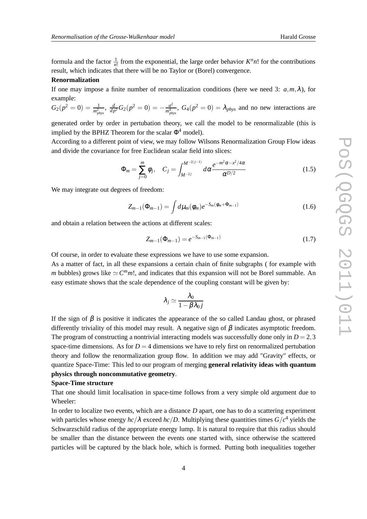formula and the factor  $\frac{1}{n!}$  from the exponential, the large order behavior  $K^n n!$  for the contributions result, which indicates that there will be no Taylor or (Borel) convergence.

#### **Renormalization**

If one may impose a finite number of renormalization conditions (here we need 3:  $a, m, \lambda$ ), for example:

$$
G_2(p^2 = 0) = \frac{1}{m_{phys}^2}
$$
,  $\frac{d}{dp^2}G_2(p^2 = 0) = -\frac{a^2}{m_{phys}^4}$ ,  $G_4(p^2 = 0) = \lambda_{phys}$  and no new interactions are

generated order by order in pertubation theory, we call the model to be renormalizable (this is implied by the BPHZ Theorem for the scalar  $\Phi^4$  model).

According to a different point of view, we may follow Wilsons Renormalization Group Flow ideas and divide the covariance for free Euclidean scalar field into slices:

$$
\Phi_m = \sum_{j=0}^m \phi_j, \quad C_j = \int_{M^{-2j}}^{M^{-2(j-1)}} d\alpha \frac{e^{-m^2 \alpha - x^2/4\alpha}}{\alpha^{D/2}} \tag{1.5}
$$

We may integrate out degrees of freedom:

$$
Z_{m-1}(\Phi_{m-1}) = \int d\mu_m(\phi_m) e^{-S_m(\phi_m + \Phi_{m-1})}
$$
(1.6)

and obtain a relation between the actions at different scales:

$$
Z_{m-1}(\Phi_{m-1}) = e^{-S_{m-1}(\Phi_{m-1})}
$$
\n(1.7)

Of course, in order to evaluate these expressions we have to use some expansion.

As a matter of fact, in all these expansions a certain chain of finite subgraphs ( for example with *m* bubbles) grows like  $\sim \mathbb{C}^m m!$ , and indicates that this expansion will not be Borel summable. An easy estimate shows that the scale dependence of the coupling constant will be given by:

$$
\lambda_j \simeq \frac{\lambda_0}{1-\beta \lambda_0 j}
$$

If the sign of  $\beta$  is positive it indicates the appearance of the so called Landau ghost, or phrased differently triviality of this model may result. A negative sign of  $\beta$  indicates asymptotic freedom. The program of constructing a nontrivial interacting models was successfully done only in  $D = 2,3$ space-time dimensions. As for  $D = 4$  dimensions we have to rely first on renormalized pertubation theory and follow the renormalization group flow. In addition we may add "Gravity" effects, or quantize Space-Time: This led to our program of merging **general relativity ideas with quantum physics through noncommutative geometry**.

#### **Space-Time structure**

That one should limit localisation in space-time follows from a very simple old argument due to Wheeler:

In order to localize two events, which are a distance *D* apart, one has to do a scattering experiment with particles whose energy  $hc/\lambda$  exceed  $hc/D$ . Multiplying these quantities times  $G/c^4$  yields the Schwarzschild radius of the appropriate energy lump. It is natural to require that this radius should be smaller than the distance between the events one started with, since otherwise the scattered particles will be captured by the black hole, which is formed. Putting both inequalities together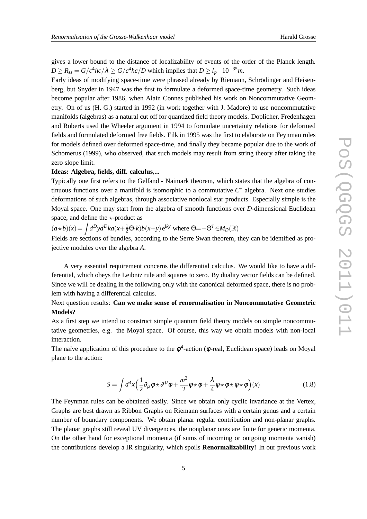gives a lower bound to the distance of localizability of events of the order of the Planck length.  $D \ge R_{ss} = G/c^4 hc/\lambda \ge G/c^4 hc/D$  which implies that  $D \ge l_p \quad 10^{-35} m$ .

Early ideas of modifying space-time were phrased already by Riemann, Schrödinger and Heisenberg, but Snyder in 1947 was the first to formulate a deformed space-time geometry. Such ideas become popular after 1986, when Alain Connes published his work on Noncommutative Geometry. On of us (H. G.) started in 1992 (in work together with J. Madore) to use noncommutative manifolds (algebras) as a natural cut off for quantized field theory models. Doplicher, Fredenhagen and Roberts used the Wheeler argument in 1994 to formulate uncertainty relations for deformed fields and formulated deformed free fields. Filk in 1995 was the first to elaborate on Feynman rules for models defined over deformed space-time, and finally they became popular due to the work of Schomerus (1999), who observed, that such models may result from string theory after taking the zero slope limit.

# **Ideas: Algebra, fields, diff. calculus,...**

Typically one first refers to the Gelfand - Naimark theorem, which states that the algebra of continuous functions over a manifold is isomorphic to a commutative  $C^*$  algebra. Next one studies deformations of such algebras, through associative nonlocal star products. Especially simple is the Moyal space. One may start from the algebra of smooth functions over *D*-dimensional Euclidean space, and define the  $\star$ -product as

 $(a * b)(x) = \int d^D y d^D k a(x + \frac{1}{2} \Theta \cdot k) b(x + y) e^{iky}$  where  $\Theta = -\Theta^T \in M_D(\mathbb{R})$ 

Fields are sections of bundles, according to the Serre Swan theorem, they can be identified as projective modules over the algebra *A*.

A very essential requirement concerns the differential calculus. We would like to have a differential, which obeys the Leibniz rule and squares to zero. By duality vector fields can be defined. Since we will be dealing in the following only with the canonical deformed space, there is no problem with having a differential calculus.

# Next question results: **Can we make sense of renormalisation in Noncommutative Geometric Models?**

As a first step we intend to construct simple quantum field theory models on simple noncommutative geometries, e.g. the Moyal space. Of course, this way we obtain models with non-local interaction.

The naïve application of this procedure to the  $\phi^4$ -action ( $\phi$ -real, Euclidean space) leads on Moyal plane to the action:

$$
S = \int d^4x \left(\frac{1}{2}\partial_\mu\phi \star \partial^\mu\phi + \frac{m^2}{2}\phi \star \phi + \frac{\lambda}{4}\phi \star \phi \star \phi \star \phi\right)(x)
$$
(1.8)

The Feynman rules can be obtained easily. Since we obtain only cyclic invariance at the Vertex, Graphs are best drawn as Ribbon Graphs on Riemann surfaces with a certain genus and a certain number of boundary components. We obtain planar regular contribution and non-planar graphs. The planar graphs still reveal UV divergences, the nonplanar ones are finite for generic momenta. On the other hand for exceptional momenta (if sums of incoming or outgoing momenta vanish) the contributions develop a IR singularity, which spoils **Renormalizability!** In our previous work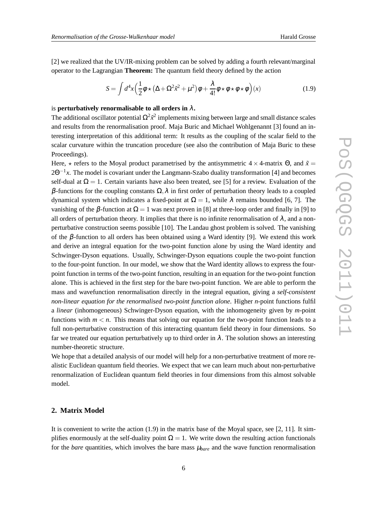[2] we realized that the UV/IR-mixing problem can be solved by adding a fourth relevant/marginal operator to the Lagrangian **Theorem:** The quantum field theory defined by the action

$$
S = \int d^4x \left(\frac{1}{2}\phi \star (\Delta + \Omega^2 \tilde{x}^2 + \mu^2)\phi + \frac{\lambda}{4!}\phi \star \phi \star \phi \star \phi\right)(x)
$$
 (1.9)

### is **perturbatively renormalisable to all orders in**  $\lambda$ .

The additional oscillator potential  $\Omega^2 \tilde{x}^2$  implements mixing between large and small distance scales and results from the renormalisation proof. Maja Buric and Michael Wohlgenannt [3] found an interesting interpretation of this additional term: It results as the coupling of the scalar field to the scalar curvature within the truncation procedure (see also the contribution of Maja Buric to these Proceedings).

Here,  $\star$  refers to the Moyal product parametrised by the antisymmetric 4  $\times$  4-matrix  $\Theta$ , and  $\tilde{x}$  = 2Θ<sup>-1</sup>x. The model is covariant under the Langmann-Szabo duality transformation [4] and becomes self-dual at  $\Omega = 1$ . Certain variants have also been treated, see [5] for a review. Evaluation of the β-functions for the coupling constants  $\Omega$ ,  $\lambda$  in first order of perturbation theory leads to a coupled dynamical system which indicates a fixed-point at  $\Omega = 1$ , while λ remains bounded [6, 7]. The vanishing of the  $\beta$ -function at  $\Omega = 1$  was next proven in [8] at three-loop order and finally in [9] to all orders of perturbation theory. It implies that there is no infinite renormalisation of  $\lambda$ , and a nonperturbative construction seems possible [10]. The Landau ghost problem is solved. The vanishing of the β-function to all orders has been obtained using a Ward identity [9]. We extend this work and derive an integral equation for the two-point function alone by using the Ward identity and Schwinger-Dyson equations. Usually, Schwinger-Dyson equations couple the two-point function to the four-point function. In our model, we show that the Ward identity allows to express the fourpoint function in terms of the two-point function, resulting in an equation for the two-point function alone. This is achieved in the first step for the bare two-point function. We are able to perform the mass and wavefunction renormalisation directly in the integral equation, giving a *self-consistent non-linear equation for the renormalised two-point function alone*. Higher *n*-point functions fulfil a *linear* (inhomogeneous) Schwinger-Dyson equation, with the inhomogeneity given by *m*-point functions with  $m < n$ . This means that solving our equation for the two-point function leads to a full non-perturbative construction of this interacting quantum field theory in four dimensions. So far we treated our equation perturbatively up to third order in  $\lambda$ . The solution shows an interesting number-theoretic structure.

We hope that a detailed analysis of our model will help for a non-perturbative treatment of more realistic Euclidean quantum field theories. We expect that we can learn much about non-perturbative renormalization of Euclidean quantum field theories in four dimensions from this almost solvable model.

# **2. Matrix Model**

It is convenient to write the action (1.9) in the matrix base of the Moyal space, see [2, 11]. It simplifies enormously at the self-duality point  $\Omega = 1$ . We write down the resulting action functionals for the *bare* quantities, which involves the bare mass  $\mu_{bare}$  and the wave function renormalisation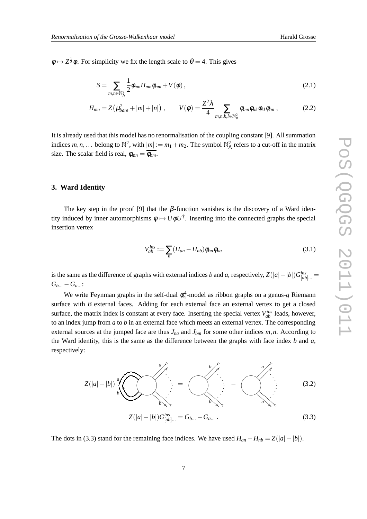$\phi \mapsto Z^{\frac{1}{2}}\phi$ . For simplicity we fix the length scale to  $\theta = 4$ . This gives

$$
S = \sum_{m,n \in \mathbb{N}_{\Lambda}^2} \frac{1}{2} \phi_{mn} H_{mn} \phi_{nm} + V(\phi) \,, \tag{2.1}
$$

$$
H_{mn} = Z\left(\mu_{bare}^2 + |m| + |n|\right), \qquad V(\phi) = \frac{Z^2 \lambda}{4} \sum_{m,n,k,l \in \mathbb{N}_{\Lambda}^2} \phi_{mn} \phi_{nk} \phi_{kl} \phi_{lm} , \qquad (2.2)
$$

It is already used that this model has no renormalisation of the coupling constant [9]. All summation indices  $m, n, ...$  belong to  $\mathbb{N}^2$ , with  $|m| := m_1 + m_2$ . The symbol  $\mathbb{N}^2$  refers to a cut-off in the matrix size. The scalar field is real,  $\phi_{mn} = \overline{\phi_{nm}}$ .

# **3. Ward Identity**

The key step in the proof [9] that the  $\beta$ -function vanishes is the discovery of a Ward identity induced by inner automorphisms  $\phi \mapsto U\phi U^{\dagger}$ . Inserting into the connected graphs the special insertion vertex

$$
V_{ab}^{ins} := \sum_{n} (H_{an} - H_{nb}) \phi_{bn} \phi_{na}
$$
\n(3.1)

is the same as the difference of graphs with external indices *b* and *a*, respectively,  $Z(|a| - |b|)G^{ins}_{[ab]...} =$  $G_{b...} - G_{a...}$ :

We write Feynman graphs in the self-dual  $\phi_4^4$ -model as ribbon graphs on a genus-*g* Riemann surface with *B* external faces. Adding for each external face an external vertex to get a closed surface, the matrix index is constant at every face. Inserting the special vertex  $V_{ab}^{ins}$  leads, however, to an index jump from *a* to *b* in an external face which meets an external vertex. The corresponding external sources at the jumped face are thus  $J_{na}$  and  $J_{bm}$  for some other indices  $m, n$ . According to the Ward identity, this is the same as the difference between the graphs with face index *b* and *a*, respectively:

$$
Z(|a|-|b|) \bigvee_{b}^{a} \bigotimes_{b \in \mathbb{N}} \dots = \bigotimes_{b}^{b} A
$$
\n
$$
Z(|a|-|b|)G^{ins}_{[ab]...} = G_{b...} - G_{a...}.
$$
\n(3.3)

The dots in (3.3) stand for the remaining face indices. We have used  $H_{an} - H_{nb} = Z(|a| - |b|)$ .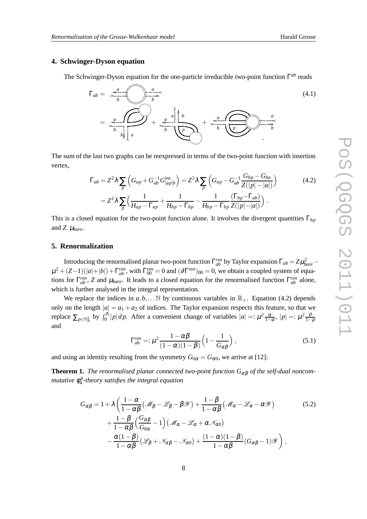# **4. Schwinger-Dyson equation**

The Schwinger-Dyson equation for the one-particle irreducible two-point function Γ<sup>ab</sup> reads

$$
\Gamma_{ab} = \frac{a}{b} \sqrt{\frac{a}{b}} \sqrt{\frac{a}{b}}
$$
\n
$$
= \frac{a}{b} \sqrt{\frac{a}{b}} \sqrt{\frac{a}{b}} \sqrt{\frac{b}{b}} \sqrt{\frac{a}{b}}
$$
\n
$$
= \frac{a}{b} \sqrt{\frac{a}{b}} \sqrt{\frac{a}{b}}
$$
\n
$$
(4.1)
$$

The sum of the last two graphs can be reexpressed in terms of the two-point function with insertion vertex,

$$
\Gamma_{ab} = Z^2 \lambda \sum_{p} \left( G_{ap} + G_{ab}^{-1} G_{[ap]b}^{ins} \right) = Z^2 \lambda \sum_{p} \left( G_{ap} - G_{ab}^{-1} \frac{G_{bp} - G_{ba}}{Z(|p| - |a|)} \right)
$$
(4.2)  

$$
= Z^2 \lambda \sum_{p} \left( \frac{1}{H_{ap} - \Gamma_{ap}} + \frac{1}{H_{bp} - \Gamma_{bp}} - \frac{1}{H_{bp} - \Gamma_{bp}} \frac{(\Gamma_{bp} - \Gamma_{ab})}{Z(|p| - |a|)} \right).
$$

This is a closed equation for the two-point function alone. It involves the divergent quantities Γ*bp* and  $Z$ ,  $\mu_{bare}$ .

### **5. Renormalization**

Introducing the renormalised planar two-point function  $\Gamma_{ab}^{ren}$  by Taylor expansion  $\Gamma_{ab} = Z\mu_{bare}^2 \mu^2 + (Z-1)(|a|+|b|) + \Gamma_{ab}^{ren}$ , with  $\Gamma_{00}^{ren} = 0$  and  $(\partial \Gamma^{ren})_{00} = 0$ , we obtain a coupled system of equations for  $\Gamma^{ren}_{ab}$ , *Z* and  $\mu_{bare}$ . It leads to a closed equation for the renormalised function  $\Gamma^{ren}_{ab}$  alone, which is further analysed in the integral representation.

We replace the indices in  $a, b, \ldots \mathbb{N}$  by continuous variables in  $\mathbb{R}_+$ . Equation (4.2) depends only on the length  $|a| = a_1 + a_2$  of indices. The Taylor expansion respects this feature, so that we replace  $\sum_{p \in \mathbb{N}_{\Lambda}^2}$  by  $\int_0^{\Lambda} |p| dp$ . After a convenient change of variables  $|a| =: \mu^2 \frac{\alpha}{1-\alpha}, |p| =: \mu^2 \frac{\rho}{1-\rho}$ and

$$
\Gamma_{ab}^{ren} =: \mu^2 \frac{1 - \alpha \beta}{(1 - \alpha)(1 - \beta)} \left(1 - \frac{1}{G_{\alpha\beta}}\right), \qquad (5.1)
$$

and using an identity resulting from the symmetry  $G_{0\alpha} = G_{\alpha 0}$ , we arrive at [12]:

**Theorem 1.** *The renormalised planar connected two-point function*  $G_{\alpha\beta}$  *of the self-dual noncommutative* φ 4 4 *-theory satisfies the integral equation*

$$
G_{\alpha\beta} = 1 + \lambda \left( \frac{1 - \alpha}{1 - \alpha\beta} (\mathcal{M}_{\beta} - \mathcal{L}_{\beta} - \beta \mathcal{Y}) + \frac{1 - \beta}{1 - \alpha\beta} (\mathcal{M}_{\alpha} - \mathcal{L}_{\alpha} - \alpha \mathcal{Y}) \right)
$$
  
+ 
$$
\frac{1 - \beta}{1 - \alpha\beta} \left( \frac{G_{\alpha\beta}}{G_{0\alpha}} - 1 \right) (\mathcal{M}_{\alpha} - \mathcal{L}_{\alpha} + \alpha \mathcal{N}_{\alpha 0})
$$

$$
- \frac{\alpha(1 - \beta)}{1 - \alpha\beta} (\mathcal{L}_{\beta} + \mathcal{N}_{\alpha\beta} - \mathcal{N}_{\alpha 0}) + \frac{(1 - \alpha)(1 - \beta)}{1 - \alpha\beta} (G_{\alpha\beta} - 1) \mathcal{Y} \right),
$$
(5.2)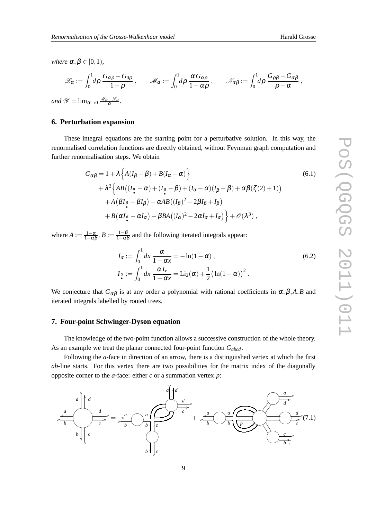*where*  $\alpha, \beta \in [0, 1)$ *,* 

$$
\mathscr{L}_{\alpha} := \int_0^1 d\rho \, \frac{G_{\alpha\rho} - G_{0\rho}}{1 - \rho} \, , \qquad \mathscr{M}_{\alpha} := \int_0^1 d\rho \, \frac{\alpha \, G_{\alpha\rho}}{1 - \alpha \rho} \, , \qquad \mathscr{N}_{\alpha\beta} := \int_0^1 d\rho \, \frac{G_{\rho\beta} - G_{\alpha\beta}}{\rho - \alpha} \, ,
$$

*and*  $\mathscr{Y} = \lim_{\alpha \to 0}$ α *.*

# **6. Perturbation expansion**

These integral equations are the starting point for a perturbative solution. In this way, the renormalised correlation functions are directly obtained, without Feynman graph computation and further renormalisation steps. We obtain

$$
G_{\alpha\beta} = 1 + \lambda \left\{ A(I_{\beta} - \beta) + B(I_{\alpha} - \alpha) \right\}
$$
(6.1)  
+ 
$$
\lambda^2 \left\{ AB((I_{\alpha} - \alpha) + (I_{\beta} - \beta) + (I_{\alpha} - \alpha)(I_{\beta} - \beta) + \alpha\beta(\zeta(2) + 1))
$$

$$
+ A(\beta I_{\beta} - \beta I_{\beta}) - \alpha AB((I_{\beta})^2 - 2\beta I_{\beta} + I_{\beta})
$$

$$
+ B(\alpha I_{\alpha} - \alpha I_{\alpha}) - \beta BA((I_{\alpha})^2 - 2\alpha I_{\alpha} + I_{\alpha}) \right\} + \mathcal{O}(\lambda^3),
$$

where  $A:=\frac{1-\alpha}{1-\alpha\beta},$   $B:=\frac{1-\beta}{1-\alpha\beta}$  $\frac{1-p}{1-\alpha\beta}$  and the following iterated integrals appear:

$$
I_{\alpha} := \int_0^1 dx \frac{\alpha}{1 - \alpha x} = -\ln(1 - \alpha),
$$
  
\n
$$
I_{\alpha} := \int_0^1 dx \frac{\alpha I_x}{1 - \alpha x} = \text{Li}_2(\alpha) + \frac{1}{2} (\ln(1 - \alpha))^2.
$$
\n(6.2)

We conjecture that  $G_{\alpha\beta}$  is at any order a polynomial with rational coefficients in  $\alpha, \beta, A, B$  and iterated integrals labelled by rooted trees.

### **7. Four-point Schwinger-Dyson equation**

The knowledge of the two-point function allows a successive construction of the whole theory. As an example we treat the planar connected four-point function *Gabcd* .

Following the *a*-face in direction of an arrow, there is a distinguished vertex at which the first *ab*-line starts. For this vertex there are two possibilities for the matrix index of the diagonally opposite corner to the *a*-face: either *c* or a summation vertex *p*:

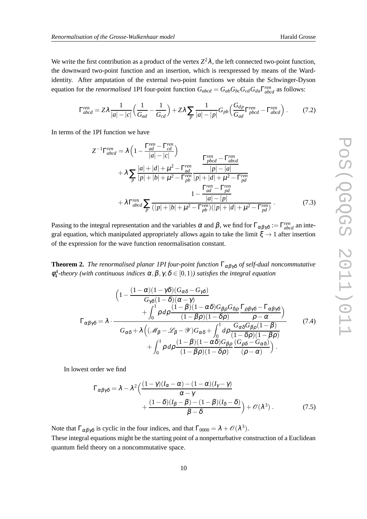We write the first contribution as a product of the vertex  $Z^2\lambda$ , the left connected two-point function, the downward two-point function and an insertion, which is reexpressed by means of the Wardidentity. After amputation of the external two-point functions we obtain the Schwinger-Dyson equation for the *renormalised* 1PI four-point function  $G_{abcd} = G_{ab}G_{bc}G_{cd}G_{da}\Gamma^{ren}_{abcd}$  as follows:

$$
\Gamma_{abcd}^{ren} = Z\lambda \frac{1}{|a|-|c|} \Big(\frac{1}{G_{ad}} - \frac{1}{G_{cd}}\Big) + Z\lambda \sum_{p} \frac{1}{|a|-|p|} G_{pb} \Big(\frac{G_{dp}}{G_{ad}} \Gamma_{pbcd}^{ren} - \Gamma_{abcd}^{ren}\Big) \,. \tag{7.2}
$$

In terms of the 1PI function we have

$$
Z^{-1}\Gamma_{abcd}^{ren} = \lambda \left( 1 - \frac{\Gamma_{ad}^{ren} - \Gamma_{cd}^{ren}}{|a| - |c|} \right)
$$
  
+  $\lambda \sum_{p} \frac{|a| + |d| + \mu^2 - \Gamma_{ad}^{ren}}{|p| + |b| + \mu^2 - \Gamma_{pb}^{ren}} \frac{|p| - |a|}{|p| + |d| + \mu^2 - \Gamma_{pd}^{ren}}$   
+  $\lambda \Gamma_{abcd}^{ren} \sum_{p} \frac{1 - \frac{\Gamma_{ad}^{ren} - \Gamma_{cd}^{ren}}{|a| - |p|}}{\frac{|a| - |p|}}$   
+  $\lambda \Gamma_{abcd}^{ren} \sum_{p} \frac{1 - \frac{\Gamma_{ad}^{ren} - \Gamma_{pd}^{ren}}{|a| - |p|}}{\frac{|a| - |p|}}$  (7.3)

Passing to the integral representation and the variables  $\alpha$  and  $\beta$ , we find for  $\Gamma_{\alpha\beta\gamma\delta} := \Gamma_{abcd}^{ren}$  an integral equation, which manipulated appropriately allows again to take the limit  $\xi \rightarrow 1$  after insertion of the expression for the wave function renormalisation constant.

**Theorem 2.** *The renormalised planar 1PI four-point function*  $\Gamma_{\alpha\beta\gamma\delta}$  *of self-dual noncommutative*  $\phi_4^4$ -theory (with continuous indices  $\alpha, \beta, \gamma, \delta \in [0,1)$ ) satisfies the integral equation

$$
\left(1 - \frac{(1 - \alpha)(1 - \gamma\delta)(G_{\alpha\delta} - G_{\gamma\delta})}{G_{\gamma\delta}(1 - \delta)(\alpha - \gamma)} + \int_0^1 \rho \, d\rho \frac{(1 - \beta)(1 - \alpha\delta)G_{\beta\rho}G_{\delta\rho}}{(1 - \beta\rho)(1 - \delta\rho)} \frac{\Gamma_{\rho\beta\gamma\delta} - \Gamma_{\alpha\beta\gamma\delta}}{\rho - \alpha}\right)
$$
\n
$$
\Gamma_{\alpha\beta\gamma\delta} = \lambda \cdot \frac{G_{\alpha\delta} + \lambda \left((\mathcal{M}_{\beta} - \mathcal{L}_{\beta} - \mathcal{Y})G_{\alpha\delta} + \int_0^1 d\rho \frac{G_{\alpha\delta}G_{\beta\rho}(1 - \beta)}{(1 - \delta\rho)(1 - \beta\rho)} + \int_0^1 \rho \, d\rho \frac{(1 - \beta)(1 - \alpha\delta)G_{\beta\rho}}{(1 - \beta\rho)(1 - \delta\rho)} \frac{(G_{\rho\delta} - G_{\alpha\delta})}{(\rho - \alpha)}\right)}{(1 - \beta\gamma)(1 - \delta\rho)}
$$
\n(7.4)

In lowest order we find

$$
\Gamma_{\alpha\beta\gamma\delta} = \lambda - \lambda^2 \left( \frac{(1-\gamma)(I_{\alpha} - \alpha) - (1-\alpha)(I_{\gamma} - \gamma)}{\alpha - \gamma} + \frac{(1-\delta)(I_{\beta} - \beta) - (1-\beta)(I_{\delta} - \delta)}{\beta - \delta} \right) + \mathcal{O}(\lambda^3).
$$
 (7.5)

Note that  $\Gamma_{\alpha\beta\gamma\delta}$  is cyclic in the four indices, and that  $\Gamma_{0000} = \lambda + \mathcal{O}(\lambda^3)$ .

These integral equations might be the starting point of a nonperturbative construction of a Euclidean quantum field theory on a noncommutative space.